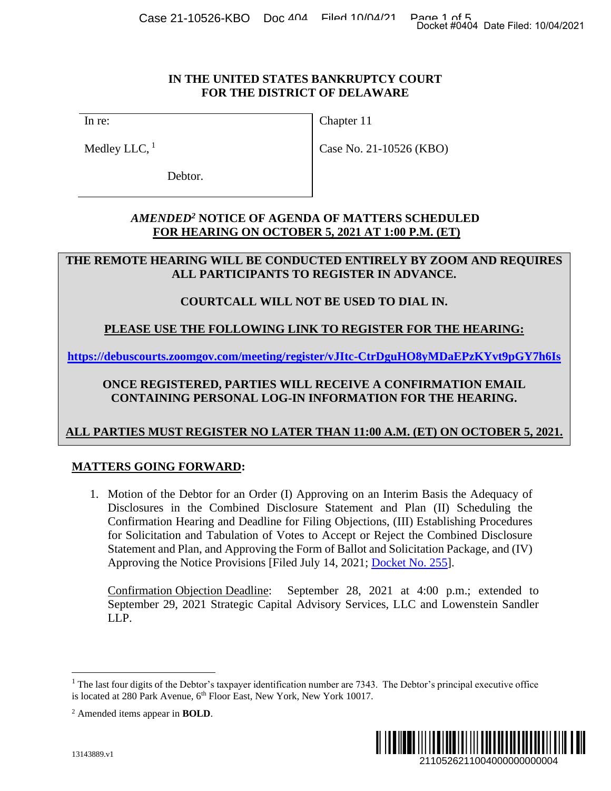#### **IN THE UNITED STATES BANKRUPTCY COURT FOR THE DISTRICT OF DELAWARE**

In re:

Medley LLC,  $<sup>1</sup>$ </sup>

Chapter 11

Case No. 21-10526 (KBO)

Debtor.

## *AMENDED<sup>2</sup>* **NOTICE OF AGENDA OF MATTERS SCHEDULED FOR HEARING ON OCTOBER 5, 2021 AT 1:00 P.M. (ET)**

## **THE REMOTE HEARING WILL BE CONDUCTED ENTIRELY BY ZOOM AND REQUIRES ALL PARTICIPANTS TO REGISTER IN ADVANCE.**

# **COURTCALL WILL NOT BE USED TO DIAL IN.**

# **PLEASE USE THE FOLLOWING LINK TO REGISTER FOR THE HEARING:**

**https://debuscourts.zoomgov.com/meeting/register/vJItc-CtrDguHO8yMDaEPzKYvt9pGY7h6Is**

# **ONCE REGISTERED, PARTIES WILL RECEIVE A CONFIRMATION EMAIL CONTAINING PERSONAL LOG-IN INFORMATION FOR THE HEARING.**

# **ALL PARTIES MUST REGISTER NO LATER THAN 11:00 A.M. (ET) ON OCTOBER 5, 2021.**

## **MATTERS GOING FORWARD:**

1. Motion of the Debtor for an Order (I) Approving on an Interim Basis the Adequacy of Disclosures in the Combined Disclosure Statement and Plan (II) Scheduling the Confirmation Hearing and Deadline for Filing Objections, (III) Establishing Procedures for Solicitation and Tabulation of Votes to Accept or Reject the Combined Disclosure Statement and Plan, and Approving the Form of Ballot and Solicitation Package, and (IV) Approving the Notice Provisions [Filed July 14, 2021; [Docket No. 255\]](https://ecf.deb.uscourts.gov/doc1/042019904065). 2110526211004000000000004 Docket #0404 Date Filed: 10/04/2021

Confirmation Objection Deadline: September 28, 2021 at 4:00 p.m.; extended to September 29, 2021 Strategic Capital Advisory Services, LLC and Lowenstein Sandler LLP.



 $<sup>1</sup>$  The last four digits of the Debtor's taxpayer identification number are 7343. The Debtor's principal executive office</sup> is located at 280 Park Avenue, 6<sup>th</sup> Floor East, New York, New York 10017.

<sup>2</sup> Amended items appear in **BOLD**.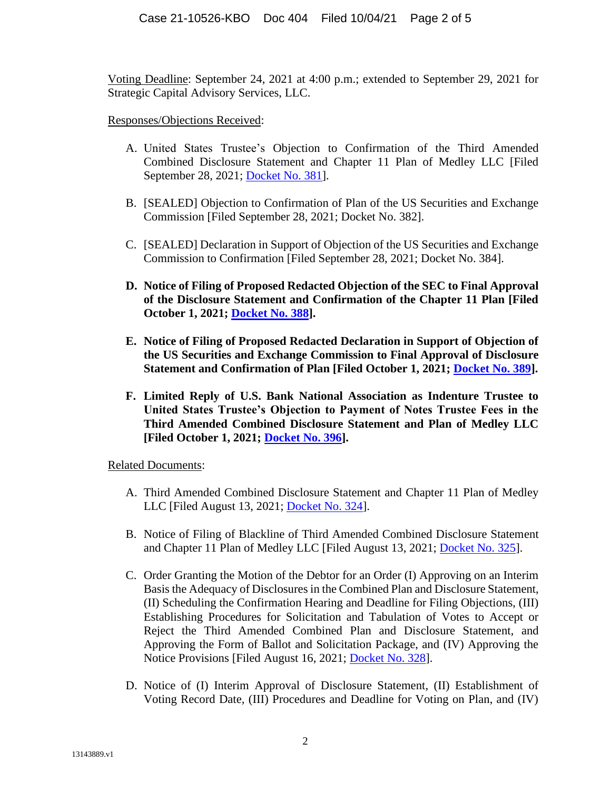Voting Deadline: September 24, 2021 at 4:00 p.m.; extended to September 29, 2021 for Strategic Capital Advisory Services, LLC.

#### Responses/Objections Received:

- A. United States Trustee's Objection to Confirmation of the Third Amended Combined Disclosure Statement and Chapter 11 Plan of Medley LLC [Filed September 28, 2021; [Docket No. 381\]](https://ecf.deb.uscourts.gov/doc1/042020050358).
- B. [SEALED] Objection to Confirmation of Plan of the US Securities and Exchange Commission [Filed September 28, 2021; Docket No. 382].
- C. [SEALED] Declaration in Support of Objection of the US Securities and Exchange Commission to Confirmation [Filed September 28, 2021; Docket No. 384].
- **D. Notice of Filing of Proposed Redacted Objection of the SEC to Final Approval of the Disclosure Statement and Confirmation of the Chapter 11 Plan [Filed October 1, 2021; [Docket No. 388\]](https://ecf.deb.uscourts.gov/doc1/042020058292).**
- **E. Notice of Filing of Proposed Redacted Declaration in Support of Objection of the US Securities and Exchange Commission to Final Approval of Disclosure Statement and Confirmation of Plan [Filed October 1, 2021; [Docket No. 389\]](https://ecf.deb.uscourts.gov/doc1/042020058368).**
- **F. Limited Reply of U.S. Bank National Association as Indenture Trustee to United States Trustee's Objection to Payment of Notes Trustee Fees in the Third Amended Combined Disclosure Statement and Plan of Medley LLC [Filed October 1, 2021; [Docket No. 396\]](https://ecf.deb.uscourts.gov/doc1/042020058800).**

Related Documents:

- A. Third Amended Combined Disclosure Statement and Chapter 11 Plan of Medley LLC [Filed August 13, 2021; [Docket No. 324\]](https://ecf.deb.uscourts.gov/doc1/042019961108).
- B. Notice of Filing of Blackline of Third Amended Combined Disclosure Statement and Chapter 11 Plan of Medley LLC [Filed August 13, 2021; [Docket No. 325\]](https://ecf.deb.uscourts.gov/doc1/042019961167).
- C. Order Granting the Motion of the Debtor for an Order (I) Approving on an Interim Basis the Adequacy of Disclosures in the Combined Plan and Disclosure Statement, (II) Scheduling the Confirmation Hearing and Deadline for Filing Objections, (III) Establishing Procedures for Solicitation and Tabulation of Votes to Accept or Reject the Third Amended Combined Plan and Disclosure Statement, and Approving the Form of Ballot and Solicitation Package, and (IV) Approving the Notice Provisions [Filed August 16, 2021; [Docket No. 328\]](https://ecf.deb.uscourts.gov/doc1/042019962758).
- D. Notice of (I) Interim Approval of Disclosure Statement, (II) Establishment of Voting Record Date, (III) Procedures and Deadline for Voting on Plan, and (IV)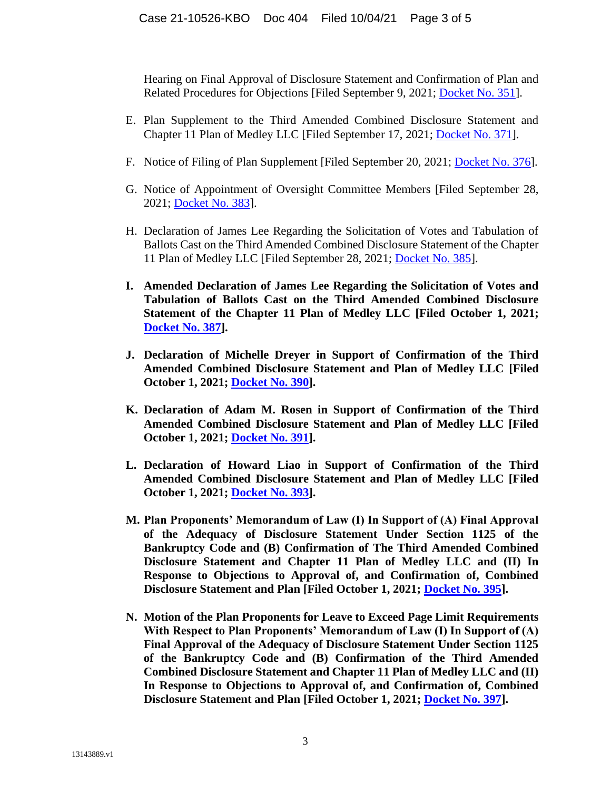Hearing on Final Approval of Disclosure Statement and Confirmation of Plan and Related Procedures for Objections [Filed September 9, 2021; [Docket No. 351\]](https://ecf.deb.uscourts.gov/doc1/042020015331).

- E. Plan Supplement to the Third Amended Combined Disclosure Statement and Chapter 11 Plan of Medley LLC [Filed September 17, 2021; [Docket No. 371\]](https://ecf.deb.uscourts.gov/doc1/042020028704).
- F. Notice of Filing of Plan Supplement [Filed September 20, 2021; [Docket No. 376\]](https://ecf.deb.uscourts.gov/doc1/042020033149).
- G. Notice of Appointment of Oversight Committee Members [Filed September 28, 2021; [Docket No. 383\]](https://ecf.deb.uscourts.gov/doc1/042020050469).
- H. Declaration of James Lee Regarding the Solicitation of Votes and Tabulation of Ballots Cast on the Third Amended Combined Disclosure Statement of the Chapter 11 Plan of Medley LLC [Filed September 28, 2021; [Docket No. 385\]](https://ecf.deb.uscourts.gov/doc1/042020050615).
- **I. Amended Declaration of James Lee Regarding the Solicitation of Votes and Tabulation of Ballots Cast on the Third Amended Combined Disclosure Statement of the Chapter 11 Plan of Medley LLC [Filed October 1, 2021; [Docket No. 387\]](https://ecf.deb.uscourts.gov/doc1/042020058188).**
- **J. Declaration of Michelle Dreyer in Support of Confirmation of the Third Amended Combined Disclosure Statement and Plan of Medley LLC [Filed October 1, 2021; [Docket No. 390\]](https://ecf.deb.uscourts.gov/doc1/042020058465).**
- **K. Declaration of Adam M. Rosen in Support of Confirmation of the Third Amended Combined Disclosure Statement and Plan of Medley LLC [Filed October 1, 2021; [Docket No. 391\]](https://ecf.deb.uscourts.gov/doc1/042020058491).**
- **L. Declaration of Howard Liao in Support of Confirmation of the Third Amended Combined Disclosure Statement and Plan of Medley LLC [Filed October 1, 2021; [Docket No. 393\]](https://ecf.deb.uscourts.gov/doc1/042020058633).**
- **M. Plan Proponents' Memorandum of Law (I) In Support of (A) Final Approval of the Adequacy of Disclosure Statement Under Section 1125 of the Bankruptcy Code and (B) Confirmation of The Third Amended Combined Disclosure Statement and Chapter 11 Plan of Medley LLC and (II) In Response to Objections to Approval of, and Confirmation of, Combined Disclosure Statement and Plan [Filed October 1, 2021; [Docket No. 395\]](https://ecf.deb.uscourts.gov/doc1/042020058755?pdf_header=&magic_num=MAGIC&de_seq_num=1299&caseid=184534).**
- **N. Motion of the Plan Proponents for Leave to Exceed Page Limit Requirements With Respect to Plan Proponents' Memorandum of Law (I) In Support of (A) Final Approval of the Adequacy of Disclosure Statement Under Section 1125 of the Bankruptcy Code and (B) Confirmation of the Third Amended Combined Disclosure Statement and Chapter 11 Plan of Medley LLC and (II) In Response to Objections to Approval of, and Confirmation of, Combined Disclosure Statement and Plan [Filed October 1, 2021; [Docket No. 397\]](https://ecf.deb.uscourts.gov/doc1/042020059023).**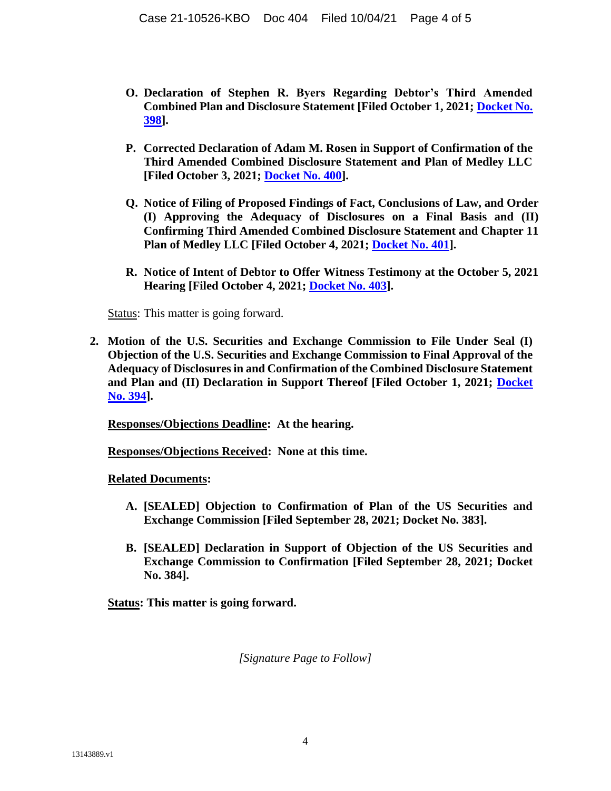- **O. Declaration of Stephen R. Byers Regarding Debtor's Third Amended Combined Plan and Disclosure Statement [Filed October 1, 2021; [Docket No.](https://ecf.deb.uscourts.gov/doc1/042020059092)  [398\]](https://ecf.deb.uscourts.gov/doc1/042020059092).**
- **P. Corrected Declaration of Adam M. Rosen in Support of Confirmation of the Third Amended Combined Disclosure Statement and Plan of Medley LLC [Filed October 3, 2021; [Docket No. 400\]](https://ecf.deb.uscourts.gov/doc1/042020059428).**
- **Q. Notice of Filing of Proposed Findings of Fact, Conclusions of Law, and Order (I) Approving the Adequacy of Disclosures on a Final Basis and (II) Confirming Third Amended Combined Disclosure Statement and Chapter 11 Plan of Medley LLC [Filed October 4, 2021; [Docket No. 401\]](https://ecf.deb.uscourts.gov/doc1/042020059900).**
- **R. Notice of Intent of Debtor to Offer Witness Testimony at the October 5, 2021 Hearing [Filed October 4, 2021; [Docket No. 403\]](https://ecf.deb.uscourts.gov/doc1/042020061054).**

Status: This matter is going forward.

**2. Motion of the U.S. Securities and Exchange Commission to File Under Seal (I) Objection of the U.S. Securities and Exchange Commission to Final Approval of the Adequacy of Disclosures in and Confirmation of the Combined Disclosure Statement and Plan and (II) Declaration in Support Thereof [Filed October 1, 2021; [Docket](https://ecf.deb.uscourts.gov/doc1/042020058641)  [No. 394\]](https://ecf.deb.uscourts.gov/doc1/042020058641).**

**Responses/Objections Deadline: At the hearing.**

**Responses/Objections Received: None at this time.**

**Related Documents:** 

- **A. [SEALED] Objection to Confirmation of Plan of the US Securities and Exchange Commission [Filed September 28, 2021; Docket No. 383].**
- **B. [SEALED] Declaration in Support of Objection of the US Securities and Exchange Commission to Confirmation [Filed September 28, 2021; Docket No. 384].**

**Status: This matter is going forward.** 

*[Signature Page to Follow]*